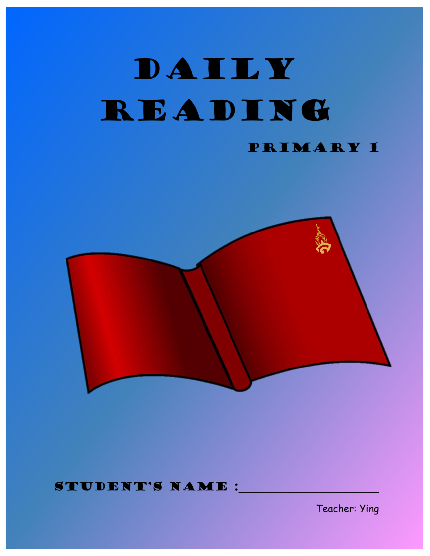## DAILY READING Primary 1



#### STUDENT'S NAME :

Teacher: Ying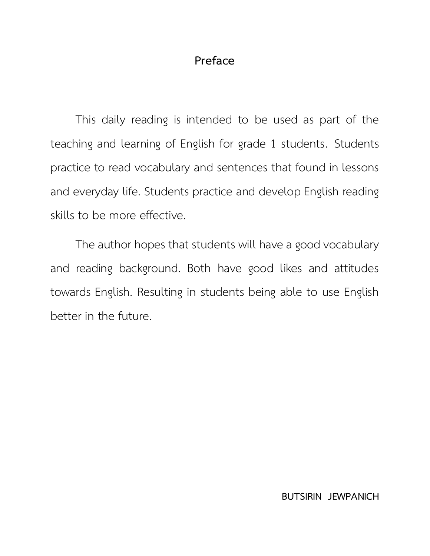#### **Preface**

This daily reading is intended to be used as part of the teaching and learning of English for grade 1 students. Students practice to read vocabulary and sentences that found in lessons and everyday life. Students practice and develop English reading skills to be more effective.

The author hopes that students will have a good vocabulary and reading background. Both have good likes and attitudes towards English. Resulting in students being able to use English better in the future.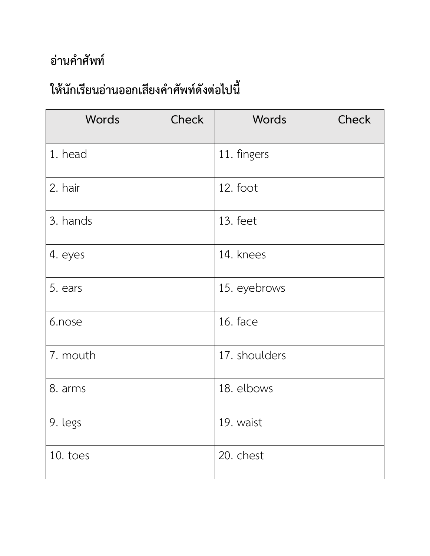| Words    | <b>Check</b> | Words         | Check |
|----------|--------------|---------------|-------|
| 1. head  |              | 11. fingers   |       |
| 2. hair  |              | 12. foot      |       |
| 3. hands |              | 13. feet      |       |
| 4. eyes  |              | 14. knees     |       |
| 5. ears  |              | 15. eyebrows  |       |
| 6.nose   |              | 16. face      |       |
| 7. mouth |              | 17. shoulders |       |
| 8. arms  |              | 18. elbows    |       |
| 9. legs  |              | 19. waist     |       |
| 10. toes |              | 20. chest     |       |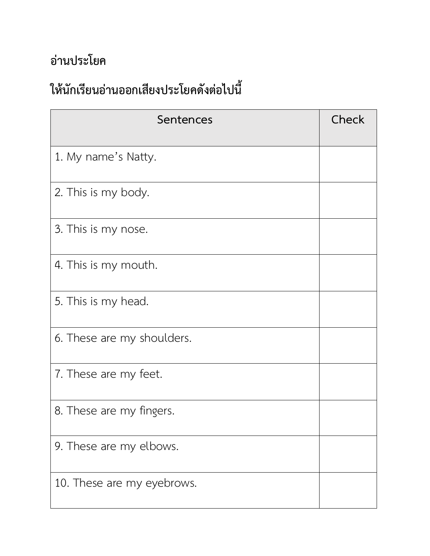| Sentences                  | Check |
|----------------------------|-------|
| 1. My name's Natty.        |       |
| 2. This is my body.        |       |
| 3. This is my nose.        |       |
| 4. This is my mouth.       |       |
| 5. This is my head.        |       |
| 6. These are my shoulders. |       |
| 7. These are my feet.      |       |
| 8. These are my fingers.   |       |
| 9. These are my elbows.    |       |
| 10. These are my eyebrows. |       |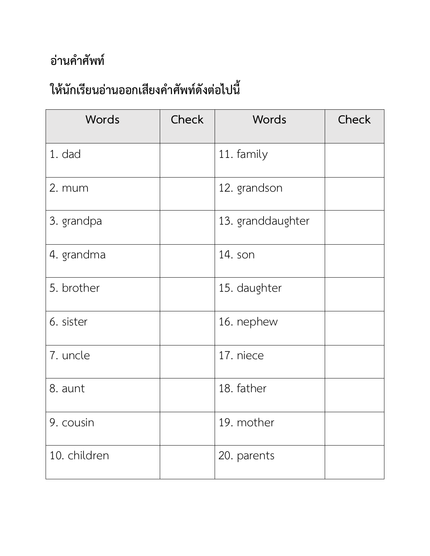| <b>Words</b> | <b>Check</b> | Words             | <b>Check</b> |
|--------------|--------------|-------------------|--------------|
| 1. dad       |              | 11. family        |              |
| 2. mum       |              | 12. grandson      |              |
| 3. grandpa   |              | 13. granddaughter |              |
| 4. grandma   |              | 14. son           |              |
| 5. brother   |              | 15. daughter      |              |
| 6. sister    |              | 16. nephew        |              |
| 7. uncle     |              | 17. niece         |              |
| 8. aunt      |              | 18. father        |              |
| 9. cousin    |              | 19. mother        |              |
| 10. children |              | 20. parents       |              |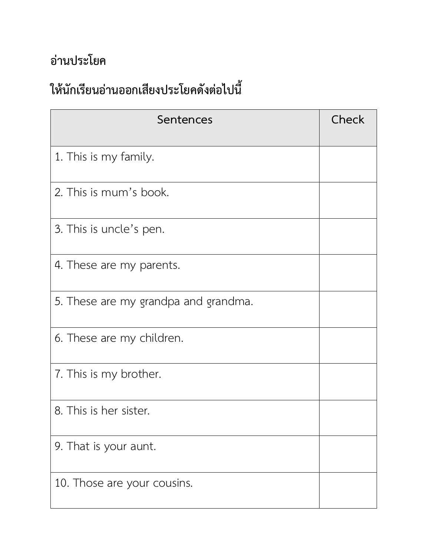| Sentences                            | Check |
|--------------------------------------|-------|
| 1. This is my family.                |       |
| 2. This is mum's book.               |       |
| 3. This is uncle's pen.              |       |
| 4. These are my parents.             |       |
| 5. These are my grandpa and grandma. |       |
| 6. These are my children.            |       |
| 7. This is my brother.               |       |
| 8. This is her sister.               |       |
| 9. That is your aunt.                |       |
| 10. Those are your cousins.          |       |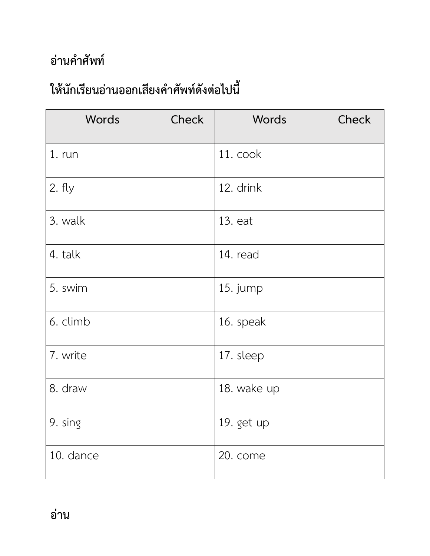| Words     | Check | Words       | Check |
|-----------|-------|-------------|-------|
| 1. run    |       | 11. cook    |       |
| 2. fly    |       | 12. drink   |       |
| 3. walk   |       | 13. eat     |       |
| 4. talk   |       | 14. read    |       |
| 5. swim   |       | 15. jump    |       |
| 6. climb  |       | 16. speak   |       |
| 7. write  |       | 17. sleep   |       |
| 8. draw   |       | 18. wake up |       |
| 9. sing   |       | 19. get up  |       |
| 10. dance |       | 20. come    |       |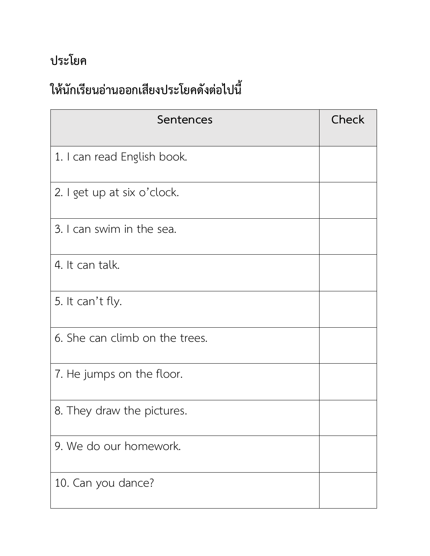#### **ประโยค**

| Sentences                      | Check |
|--------------------------------|-------|
| 1. I can read English book.    |       |
| 2. I get up at six o'clock.    |       |
| 3. I can swim in the sea.      |       |
| 4. It can talk.                |       |
| 5. It can't fly.               |       |
| 6. She can climb on the trees. |       |
| 7. He jumps on the floor.      |       |
| 8. They draw the pictures.     |       |
| 9. We do our homework.         |       |
| 10. Can you dance?             |       |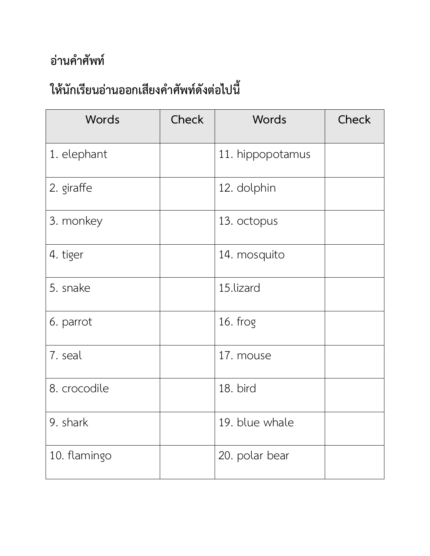| Words        | Check | Words            | Check |
|--------------|-------|------------------|-------|
| 1. elephant  |       | 11. hippopotamus |       |
| 2. giraffe   |       | 12. dolphin      |       |
| 3. monkey    |       | 13. octopus      |       |
| 4. tiger     |       | 14. mosquito     |       |
| 5. snake     |       | 15.lizard        |       |
| 6. parrot    |       | 16. frog         |       |
| 7. seal      |       | 17. mouse        |       |
| 8. crocodile |       | 18. bird         |       |
| 9. shark     |       | 19. blue whale   |       |
| 10. flamingo |       | 20. polar bear   |       |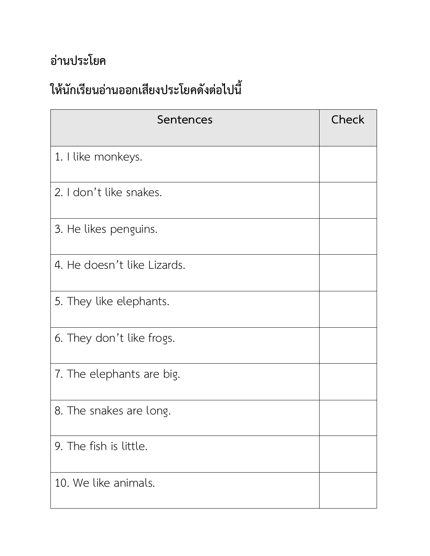| Sentences                   | Check |
|-----------------------------|-------|
| 1. I like monkeys.          |       |
| 2. I don't like snakes.     |       |
| 3. He likes penguins.       |       |
| 4. He doesn't like Lizards. |       |
| 5. They like elephants.     |       |
| 6. They don't like frogs.   |       |
| 7. The elephants are big.   |       |
| 8. The snakes are long.     |       |
| 9. The fish is little.      |       |
| 10. We like animals.        |       |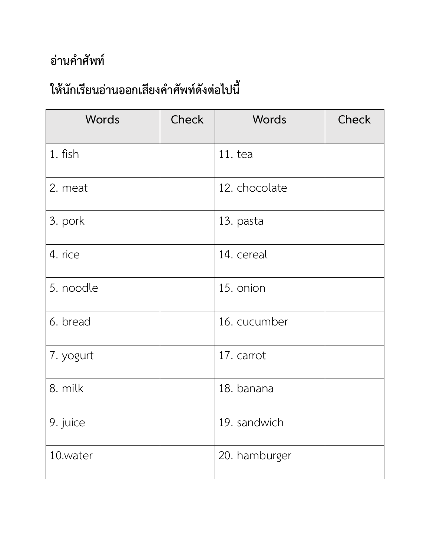| Words     | Check | Words         | Check |
|-----------|-------|---------------|-------|
| 1. fish   |       | 11.tea        |       |
| 2. meat   |       | 12. chocolate |       |
| 3. pork   |       | 13. pasta     |       |
| 4. rice   |       | 14. cereal    |       |
| 5. noodle |       | 15. onion     |       |
| 6. bread  |       | 16. cucumber  |       |
| 7. yogurt |       | 17. carrot    |       |
| 8. milk   |       | 18. banana    |       |
| 9. juice  |       | 19. sandwich  |       |
| 10.water  |       | 20. hamburger |       |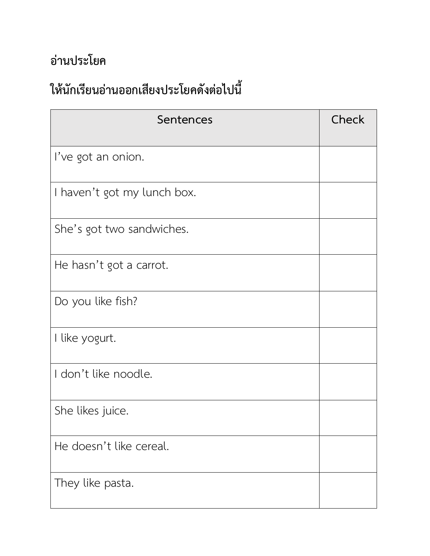| Sentences                   | Check |
|-----------------------------|-------|
| I've got an onion.          |       |
| I haven't got my lunch box. |       |
| She's got two sandwiches.   |       |
| He hasn't got a carrot.     |       |
| Do you like fish?           |       |
| I like yogurt.              |       |
| I don't like noodle.        |       |
| She likes juice.            |       |
| He doesn't like cereal.     |       |
| They like pasta.            |       |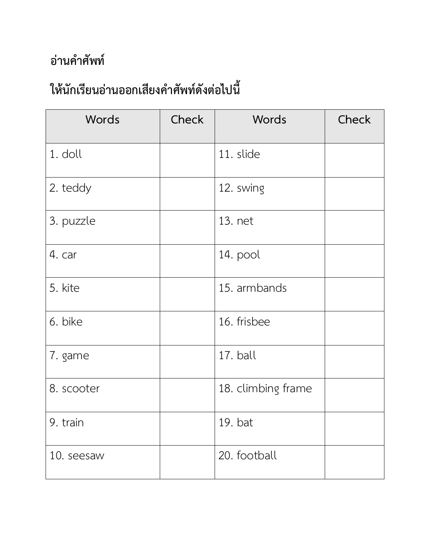| Words      | <b>Check</b> | Words              | Check |
|------------|--------------|--------------------|-------|
| 1. doll    |              | 11. slide          |       |
| 2. teddy   |              | 12. swing          |       |
| 3. puzzle  |              | 13. net            |       |
| 4. car     |              | 14. pool           |       |
| 5. kite    |              | 15. armbands       |       |
| 6. bike    |              | 16. frisbee        |       |
| 7. game    |              | 17. ball           |       |
| 8. scooter |              | 18. climbing frame |       |
| 9. train   |              | 19. bat            |       |
| 10. seesaw |              | 20. football       |       |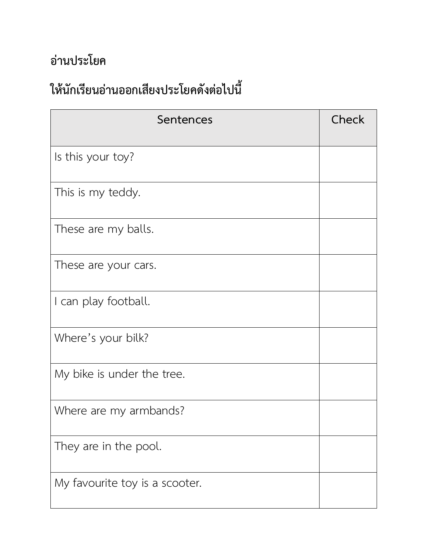| Sentences                      | Check |
|--------------------------------|-------|
| Is this your toy?              |       |
| This is my teddy.              |       |
| These are my balls.            |       |
| These are your cars.           |       |
| I can play football.           |       |
| Where's your bilk?             |       |
| My bike is under the tree.     |       |
| Where are my armbands?         |       |
| They are in the pool.          |       |
| My favourite toy is a scooter. |       |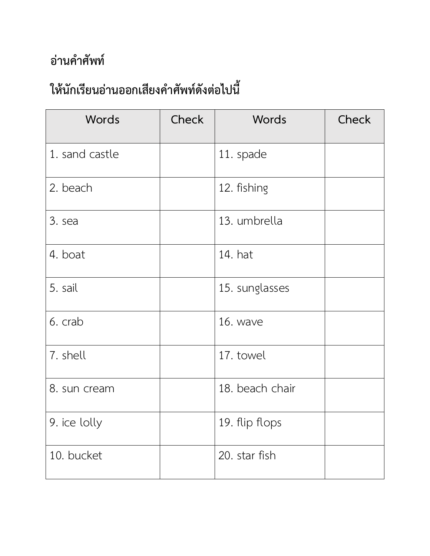| Words                        | Check | Words           | Check |
|------------------------------|-------|-----------------|-------|
| 1. sand castle               |       | 11. spade       |       |
| 2. beach                     |       | 12. fishing     |       |
| 3. sea                       |       | 13. umbrella    |       |
| 4. boat                      |       | 14. hat         |       |
| 5. sail                      |       | 15. sunglasses  |       |
| 6. crab                      |       | 16. wave        |       |
| 7. shell                     |       | 17. towel       |       |
| 8. sun cream                 |       | 18. beach chair |       |
| $\vert$ 9. ice lolly $\vert$ |       | 19. flip flops  |       |
| 10. bucket                   |       | 20. star fish   |       |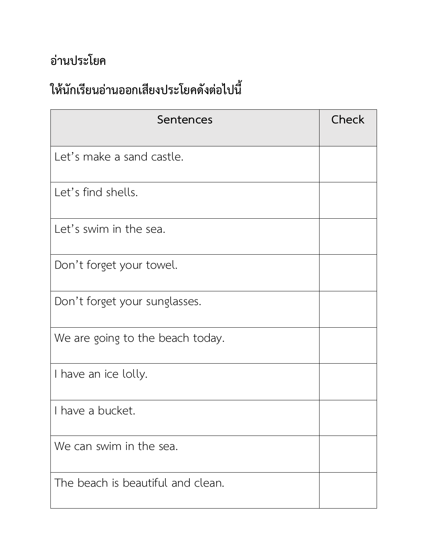| Sentences                         | Check |
|-----------------------------------|-------|
| Let's make a sand castle.         |       |
| Let's find shells.                |       |
| Let's swim in the sea.            |       |
| Don't forget your towel.          |       |
| Don't forget your sunglasses.     |       |
| We are going to the beach today.  |       |
| I have an ice lolly.              |       |
| I have a bucket.                  |       |
| We can swim in the sea.           |       |
| The beach is beautiful and clean. |       |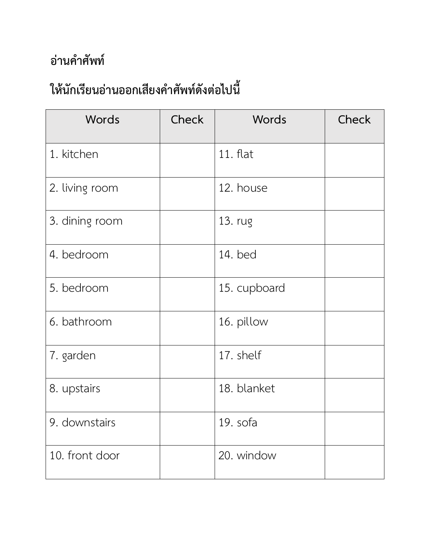| Words          | <b>Check</b> | Words        | <b>Check</b> |
|----------------|--------------|--------------|--------------|
| 1. kitchen     |              | 11. flat     |              |
| 2. living room |              | 12. house    |              |
| 3. dining room |              | 13. rug      |              |
| 4. bedroom     |              | 14. bed      |              |
| 5. bedroom     |              | 15. cupboard |              |
| 6. bathroom    |              | 16. pillow   |              |
| 7. garden      |              | 17. shelf    |              |
| 8. upstairs    |              | 18. blanket  |              |
| 9. downstairs  |              | 19. sofa     |              |
| 10. front door |              | 20. window   |              |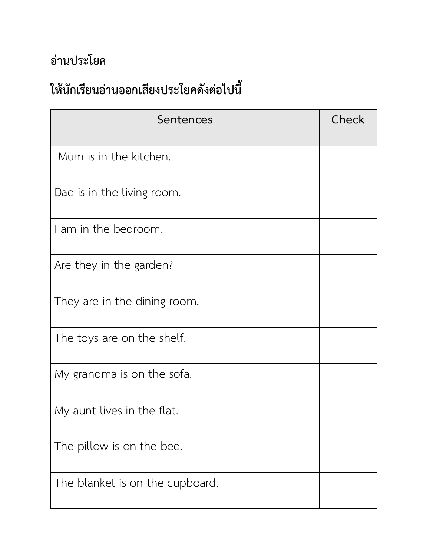| Sentences                       | Check |
|---------------------------------|-------|
| Mum is in the kitchen.          |       |
| Dad is in the living room.      |       |
| I am in the bedroom.            |       |
| Are they in the garden?         |       |
| They are in the dining room.    |       |
| The toys are on the shelf.      |       |
| My grandma is on the sofa.      |       |
| My aunt lives in the flat.      |       |
| The pillow is on the bed.       |       |
| The blanket is on the cupboard. |       |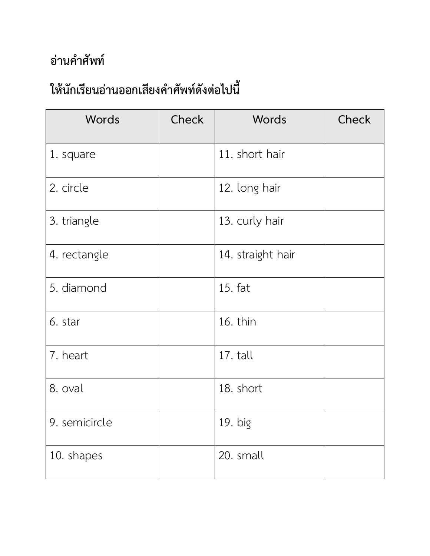| Words         | <b>Check</b> | Words             | Check |
|---------------|--------------|-------------------|-------|
| 1. square     |              | 11. short hair    |       |
| 2. circle     |              | 12. long hair     |       |
| 3. triangle   |              | 13. curly hair    |       |
| 4. rectangle  |              | 14. straight hair |       |
| 5. diamond    |              | 15. fat           |       |
| 6. star       |              | 16. thin          |       |
| 7. heart      |              | 17. tall          |       |
| 8. oval       |              | 18. short         |       |
| 9. semicircle |              | 19. big           |       |
| 10. shapes    |              | 20. small         |       |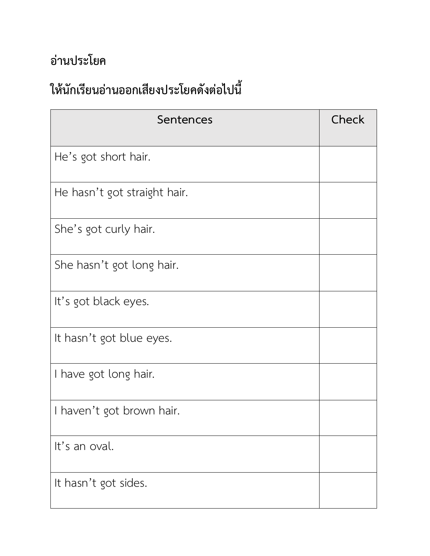| Sentences                    | Check |
|------------------------------|-------|
| He's got short hair.         |       |
| He hasn't got straight hair. |       |
| She's got curly hair.        |       |
| She hasn't got long hair.    |       |
| It's got black eyes.         |       |
| It hasn't got blue eyes.     |       |
| I have got long hair.        |       |
| I haven't got brown hair.    |       |
| It's an oval.                |       |
| It hasn't got sides.         |       |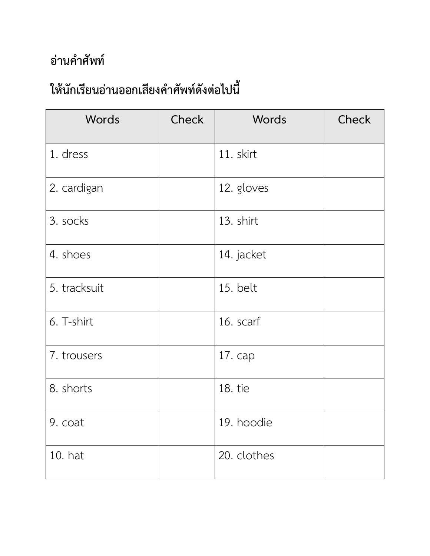| Words        | <b>Check</b> | Words       | Check |
|--------------|--------------|-------------|-------|
| 1. dress     |              | 11. skirt   |       |
| 2. cardigan  |              | 12. gloves  |       |
| 3. socks     |              | 13. shirt   |       |
| 4. shoes     |              | 14. jacket  |       |
| 5. tracksuit |              | 15. belt    |       |
| 6. T-shirt   |              | 16. scarf   |       |
| 7. trousers  |              | 17. cap     |       |
| 8. shorts    |              | 18. tie     |       |
| 9. coat      |              | 19. hoodie  |       |
| 10. hat      |              | 20. clothes |       |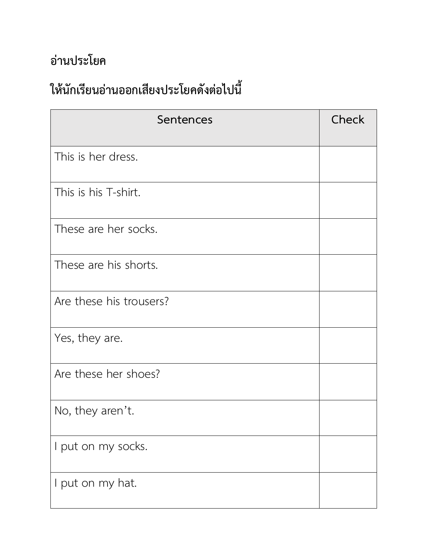| Sentences               | Check |
|-------------------------|-------|
| This is her dress.      |       |
| This is his T-shirt.    |       |
| These are her socks.    |       |
| These are his shorts.   |       |
| Are these his trousers? |       |
| Yes, they are.          |       |
| Are these her shoes?    |       |
| No, they aren't.        |       |
| I put on my socks.      |       |
| I put on my hat.        |       |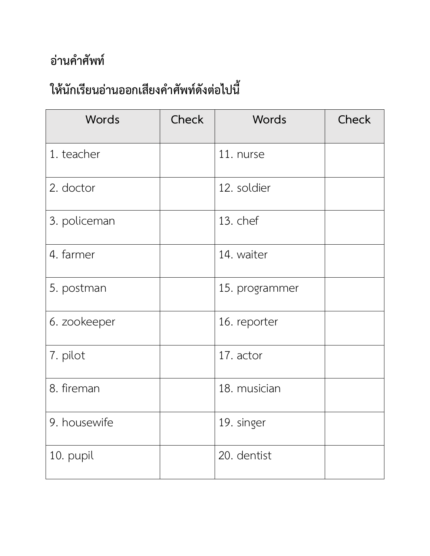| Words        | Check | Words          | Check |
|--------------|-------|----------------|-------|
| 1. teacher   |       | 11. nurse      |       |
| 2. doctor    |       | 12. soldier    |       |
| 3. policeman |       | 13. chef       |       |
| 4. farmer    |       | 14. waiter     |       |
| 5. postman   |       | 15. programmer |       |
| 6. zookeeper |       | 16. reporter   |       |
| 7. pilot     |       | 17. actor      |       |
| 8. fireman   |       | 18. musician   |       |
| 9. housewife |       | 19. singer     |       |
| 10. pupil    |       | 20. dentist    |       |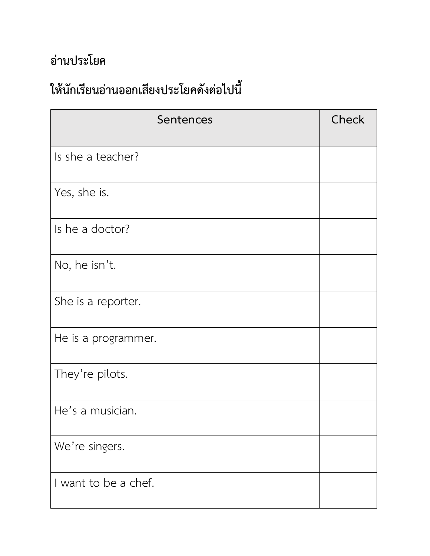| Sentences            | Check |
|----------------------|-------|
| Is she a teacher?    |       |
| Yes, she is.         |       |
| Is he a doctor?      |       |
| No, he isn't.        |       |
| She is a reporter.   |       |
| He is a programmer.  |       |
| They're pilots.      |       |
| He's a musician.     |       |
| We're singers.       |       |
| I want to be a chef. |       |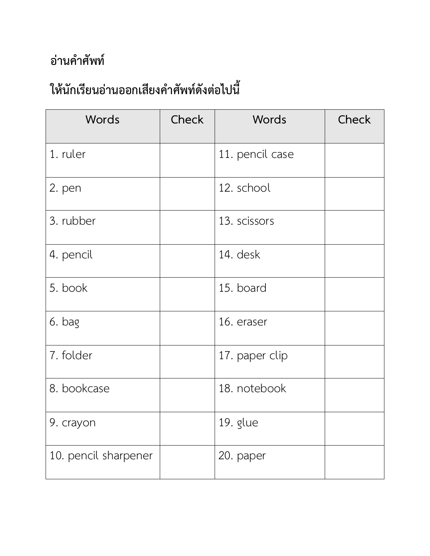| Words                | Check | Words           | Check |
|----------------------|-------|-----------------|-------|
| 1. ruler             |       | 11. pencil case |       |
| 2. pen               |       | 12. school      |       |
| 3. rubber            |       | 13. scissors    |       |
| 4. pencil            |       | 14. desk        |       |
| 5. book              |       | 15. board       |       |
| 6. bag               |       | 16. eraser      |       |
| 7. folder            |       | 17. paper clip  |       |
| 8. bookcase          |       | 18. notebook    |       |
| 9. crayon            |       | 19. glue        |       |
| 10. pencil sharpener |       | 20. paper       |       |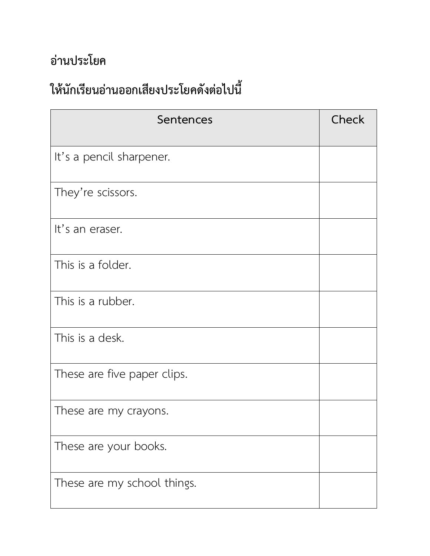| Sentences                   | Check |
|-----------------------------|-------|
| It's a pencil sharpener.    |       |
| They're scissors.           |       |
| It's an eraser.             |       |
| This is a folder.           |       |
| This is a rubber.           |       |
| This is a desk.             |       |
| These are five paper clips. |       |
| These are my crayons.       |       |
| These are your books.       |       |
| These are my school things. |       |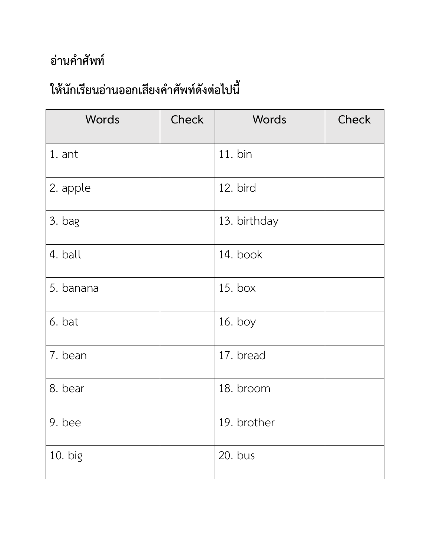| Words     | <b>Check</b> | Words        | Check |
|-----------|--------------|--------------|-------|
| 1. ant    |              | 11. bin      |       |
| 2. apple  |              | 12. bird     |       |
| 3. bag    |              | 13. birthday |       |
| 4. ball   |              | 14. book     |       |
| 5. banana |              | 15. box      |       |
| 6. bat    |              | 16. boy      |       |
| 7. bean   |              | 17. bread    |       |
| 8. bear   |              | 18. broom    |       |
| 9. bee    |              | 19. brother  |       |
| 10. big   |              | 20. bus      |       |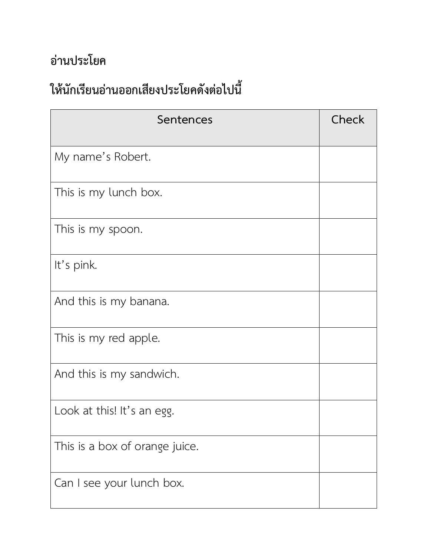| Sentences                      | Check |
|--------------------------------|-------|
| My name's Robert.              |       |
| This is my lunch box.          |       |
| This is my spoon.              |       |
| It's pink.                     |       |
| And this is my banana.         |       |
| This is my red apple.          |       |
| And this is my sandwich.       |       |
| Look at this! It's an egg.     |       |
| This is a box of orange juice. |       |
| Can I see your lunch box.      |       |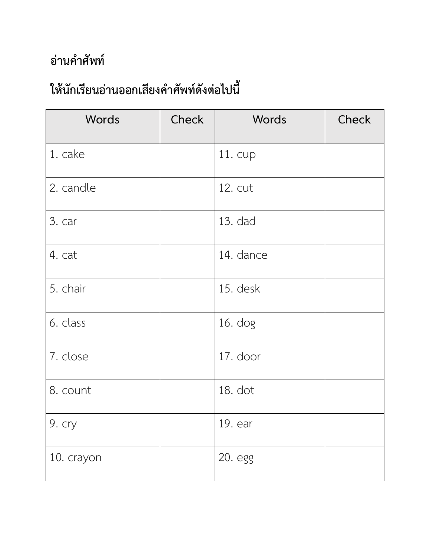| Words      | <b>Check</b> | Words     | Check |
|------------|--------------|-----------|-------|
| 1. cake    |              | 11. cup   |       |
| 2. candle  |              | 12. cut   |       |
| 3. car     |              | 13. dad   |       |
| 4. cat     |              | 14. dance |       |
| 5. chair   |              | 15. desk  |       |
| 6. class   |              | $16.$ dog |       |
| 7. close   |              | 17. door  |       |
| 8. count   |              | 18. dot   |       |
| 9. cry     |              | 19. ear   |       |
| 10. crayon |              | 20. egg   |       |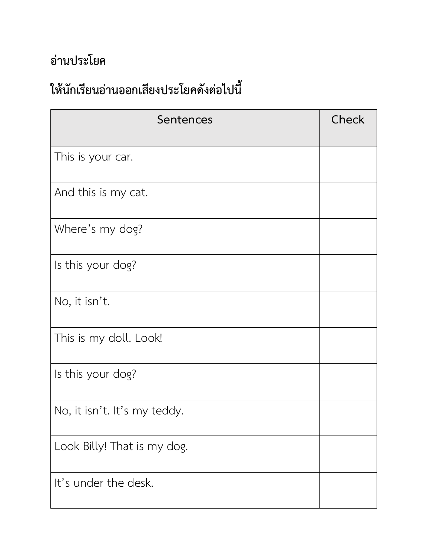| Sentences                    | Check |
|------------------------------|-------|
| This is your car.            |       |
| And this is my cat.          |       |
| Where's my dog?              |       |
| Is this your dog?            |       |
| No, it isn't.                |       |
| This is my doll. Look!       |       |
| Is this your dog?            |       |
| No, it isn't. It's my teddy. |       |
| Look Billy! That is my dog.  |       |
| It's under the desk.         |       |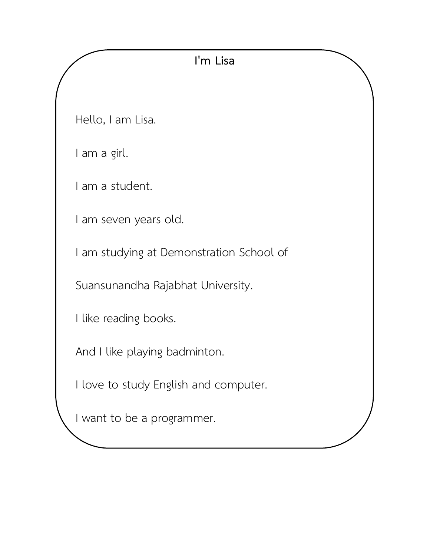#### **I'm Lisa**

Hello, I am Lisa.

I am a girl.

I am a student.

I am seven years old.

I am studying at Demonstration School of

Suansunandha Rajabhat University.

I like reading books.

And I like playing badminton.

I love to study English and computer.

I want to be a programmer.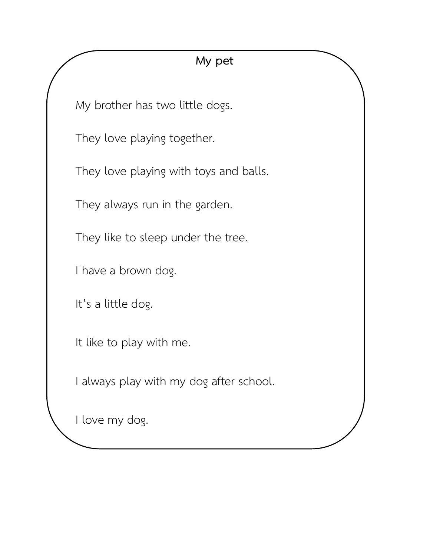#### **My pet**

My brother has two little dogs.

They love playing together.

They love playing with toys and balls.

They always run in the garden.

They like to sleep under the tree.

I have a brown dog.

It's a little dog.

It like to play with me.

I always play with my dog after school.

I love my dog.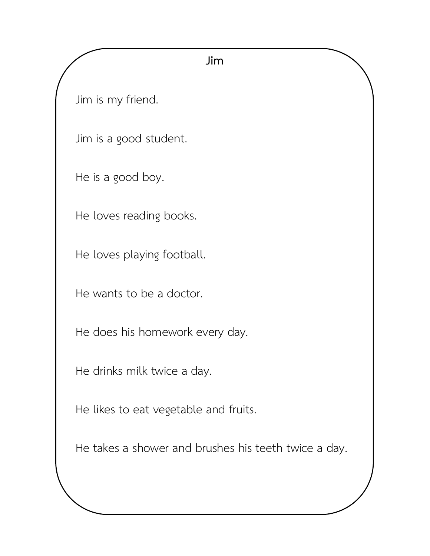#### **Jim**

Jim is my friend.

Jim is a good student.

He is a good boy.

He loves reading books.

He loves playing football.

He wants to be a doctor.

He does his homework every day.

He drinks milk twice a day.

He likes to eat vegetable and fruits.

He takes a shower and brushes his teeth twice a day.